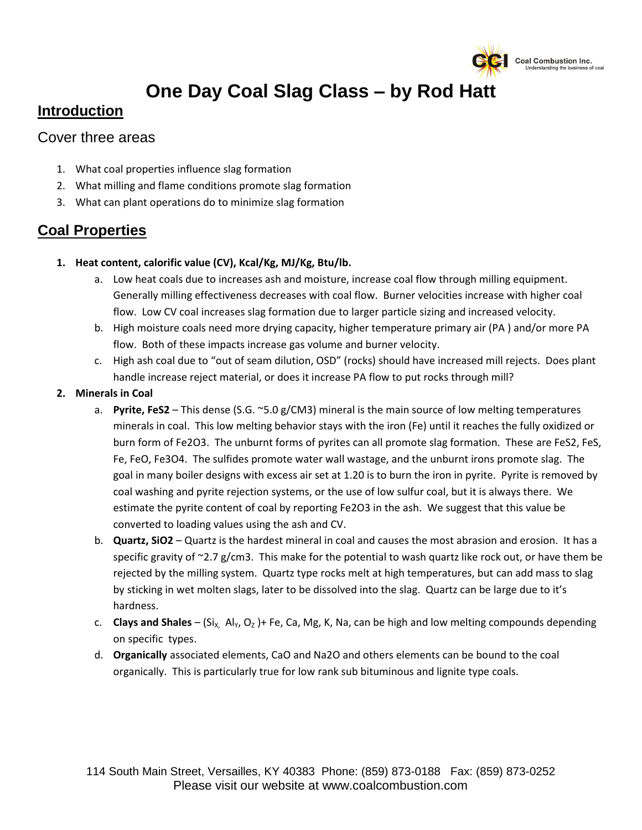

# **One Day Coal Slag Class – by Rod Hatt**

### **Introduction**

#### Cover three areas

- 1. What coal properties influence slag formation
- 2. What milling and flame conditions promote slag formation
- 3. What can plant operations do to minimize slag formation

#### **Coal Properties**

- **1. Heat content, calorific value (CV), Kcal/Kg, MJ/Kg, Btu/lb.**
	- a. Low heat coals due to increases ash and moisture, increase coal flow through milling equipment. Generally milling effectiveness decreases with coal flow. Burner velocities increase with higher coal flow. Low CV coal increases slag formation due to larger particle sizing and increased velocity.
	- b. High moisture coals need more drying capacity, higher temperature primary air (PA ) and/or more PA flow. Both of these impacts increase gas volume and burner velocity.
	- c. High ash coal due to "out of seam dilution, OSD" (rocks) should have increased mill rejects. Does plant handle increase reject material, or does it increase PA flow to put rocks through mill?

#### **2. Minerals in Coal**

- a. **Pyrite, FeS2** This dense (S.G. ~5.0 g/CM3) mineral is the main source of low melting temperatures minerals in coal. This low melting behavior stays with the iron (Fe) until it reaches the fully oxidized or burn form of Fe2O3. The unburnt forms of pyrites can all promote slag formation. These are FeS2, FeS, Fe, FeO, Fe3O4. The sulfides promote water wall wastage, and the unburnt irons promote slag. The goal in many boiler designs with excess air set at 1.20 is to burn the iron in pyrite. Pyrite is removed by coal washing and pyrite rejection systems, or the use of low sulfur coal, but it is always there. We estimate the pyrite content of coal by reporting Fe2O3 in the ash. We suggest that this value be converted to loading values using the ash and CV.
- b. **Quartz, SiO2** Quartz is the hardest mineral in coal and causes the most abrasion and erosion. It has a specific gravity of  $\gamma$ 2.7 g/cm3. This make for the potential to wash quartz like rock out, or have them be rejected by the milling system. Quartz type rocks melt at high temperatures, but can add mass to slag by sticking in wet molten slags, later to be dissolved into the slag. Quartz can be large due to it's hardness.
- c. **Clays and Shales** (Si<sub>x, Al<sub>Y</sub>, O<sub>z</sub>)+ Fe, Ca, Mg, K, Na, can be high and low melting compounds depending</sub> on specific types.
- d. **Organically** associated elements, CaO and Na2O and others elements can be bound to the coal organically. This is particularly true for low rank sub bituminous and lignite type coals.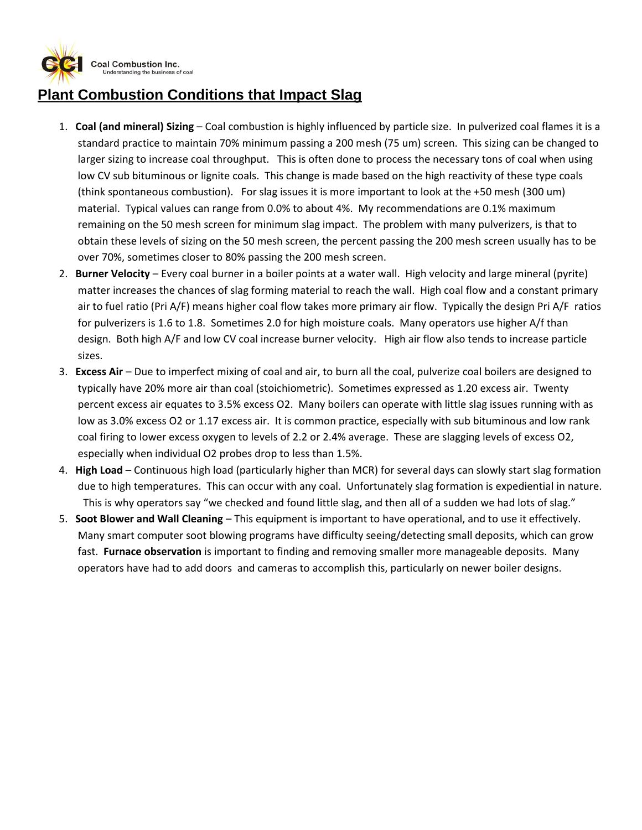

## **Plant Combustion Conditions that Impact Slag**

- 1. **Coal (and mineral) Sizing** Coal combustion is highly influenced by particle size. In pulverized coal flames it is a standard practice to maintain 70% minimum passing a 200 mesh (75 um) screen. This sizing can be changed to larger sizing to increase coal throughput. This is often done to process the necessary tons of coal when using low CV sub bituminous or lignite coals. This change is made based on the high reactivity of these type coals (think spontaneous combustion). For slag issues it is more important to look at the +50 mesh (300 um) material. Typical values can range from 0.0% to about 4%. My recommendations are 0.1% maximum remaining on the 50 mesh screen for minimum slag impact. The problem with many pulverizers, is that to obtain these levels of sizing on the 50 mesh screen, the percent passing the 200 mesh screen usually has to be over 70%, sometimes closer to 80% passing the 200 mesh screen.
- 2. **Burner Velocity** Every coal burner in a boiler points at a water wall. High velocity and large mineral (pyrite) matter increases the chances of slag forming material to reach the wall. High coal flow and a constant primary air to fuel ratio (Pri A/F) means higher coal flow takes more primary air flow. Typically the design Pri A/F ratios for pulverizers is 1.6 to 1.8. Sometimes 2.0 for high moisture coals. Many operators use higher A/f than design. Both high A/F and low CV coal increase burner velocity. High air flow also tends to increase particle sizes.
- 3. **Excess Air** Due to imperfect mixing of coal and air, to burn all the coal, pulverize coal boilers are designed to typically have 20% more air than coal (stoichiometric). Sometimes expressed as 1.20 excess air. Twenty percent excess air equates to 3.5% excess O2. Many boilers can operate with little slag issues running with as low as 3.0% excess O2 or 1.17 excess air. It is common practice, especially with sub bituminous and low rank coal firing to lower excess oxygen to levels of 2.2 or 2.4% average. These are slagging levels of excess O2, especially when individual O2 probes drop to less than 1.5%.
- 4. **High Load**  Continuous high load (particularly higher than MCR) for several days can slowly start slag formation due to high temperatures. This can occur with any coal. Unfortunately slag formation is expediential in nature. This is why operators say "we checked and found little slag, and then all of a sudden we had lots of slag."
- 5. **Soot Blower and Wall Cleaning** This equipment is important to have operational, and to use it effectively. Many smart computer soot blowing programs have difficulty seeing/detecting small deposits, which can grow fast. **Furnace observation** is important to finding and removing smaller more manageable deposits. Many operators have had to add doors and cameras to accomplish this, particularly on newer boiler designs.